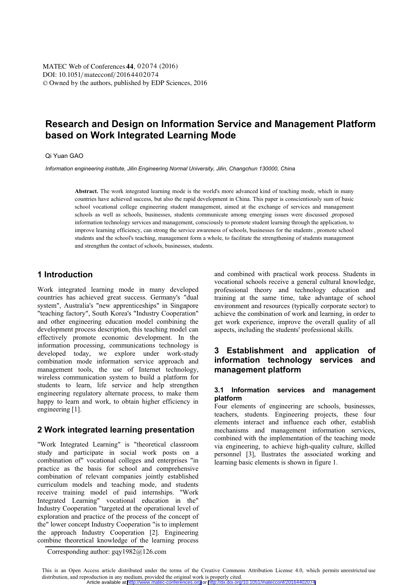DOI: 10.1051/matecconf/20164402074 © Owned by the authors, published by EDP Sciences, 2016 MATEC Web of Conferences 44, 02074 (2016)

# **Research and Design on Information Service and Management Platform based on Work Integrated Learning Mode**

#### Qi Yuan GAO

*Information engineering institute, Jilin Engineering Normal University, Jilin, Changchun 130000, China* 

**Abstract.** The work integrated learning mode is the world's more advanced kind of teaching mode, which in many countries have achieved success, but also the rapid development in China. This paper is conscientiously sum of basic school vocational college engineering student management, aimed at the exchange of services and management schools as well as schools, businesses, students communicate among emerging issues were discussed ,proposed information technology services and management, consciously to promote student learning through the application, to improve learning efficiency, can strong the service awareness of schools, businesses for the students , promote school students and the school's teaching, management form a whole, to facilitate the strengthening of students management and strengthen the contact of schools, businesses, students.

### **1 Introduction**

Work integrated learning mode in many developed countries has achieved great success. Germany's "dual system", Australia's "new apprenticeships" in Singapore "teaching factory", South Korea's "Industry Cooperation" and other engineering education model combining the development process description, this teaching model can effectively promote economic development. In the information processing, communications technology is developed today, we explore under work-study combination mode information service approach and management tools, the use of Internet technology, wireless communication system to build a platform for students to learn, life service and help strengthen engineering regulatory alternate process, to make them happy to learn and work, to obtain higher efficiency in engineering [1].

### **2 Work integrated learning presentation**

"Work Integrated Learning" is "theoretical classroom study and participate in social work posts on a combination of" vocational colleges and enterprises "in practice as the basis for school and comprehensive combination of relevant companies jointly established curriculum models and teaching mode, and students receive training model of paid internships. "Work Integrated Learning" vocational education in the" Industry Cooperation "targeted at the operational level of exploration and practice of the process of the concept of the" lower concept Industry Cooperation "is to implement the approach Industry Cooperation [2]. Engineering combine theoretical knowledge of the learning process

and combined with practical work process. Students in vocational schools receive a general cultural knowledge, professional theory and technology education and training at the same time, take advantage of school environment and resources (typically corporate sector) to achieve the combination of work and learning, in order to get work experience, improve the overall quality of all aspects, including the students' professional skills.

## **3 Establishment and application of information technology services and management platform**

#### **3.1 Information services and management platform**

Four elements of engineering are schools, businesses, teachers, students. Engineering projects, these four elements interact and influence each other, establish mechanisms and management information services, combined with the implementation of the teaching mode via engineering, to achieve high-quality culture, skilled personnel [3], llustrates the associated working and learning basic elements is shown in figure 1.

Corresponding author: gqy1982@126.com

This is an Open Access article distributed under the terms of the Creative Commons Attribution License 4.0, which permits unrestricted use distribution, and reproduction in any medium, provided the original work is properly cited. Article available at <http://www.matec-conferences.org> or <http://dx.doi.org/10.1051/matecconf/20164402074>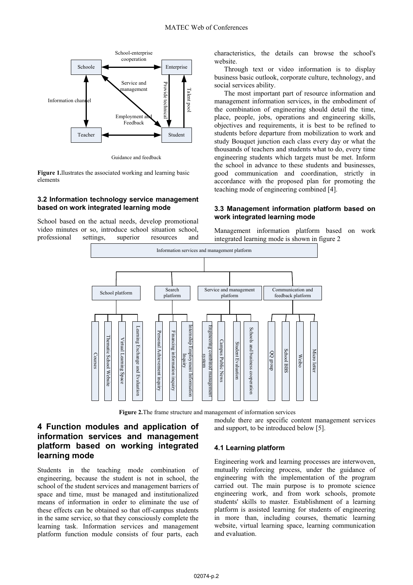

Guidance and feedback

**Figure 1.**llustrates the associated working and learning basic elements

#### **3.2 Information technology service management based on work integrated learning mode**

School based on the actual needs, develop promotional video minutes or so, introduce school situation school, professional settings, superior resources and

characteristics, the details can browse the school's website.

Through text or video information is to display business basic outlook, corporate culture, technology, and social services ability.

The most important part of resource information and management information services, in the embodiment of the combination of engineering should detail the time, place, people, jobs, operations and engineering skills, objectives and requirements, it is best to be refined to students before departure from mobilization to work and study Bouquet junction each class every day or what the thousands of teachers and students what to do, every time engineering students which targets must be met. Inform the school in advance to these students and businesses, good communication and coordination, strictly in accordance with the proposed plan for promoting the teaching mode of engineering combined [4].

#### **3.3 Management information platform based on work integrated learning mode**

Management information platform based on work integrated learning mode is shown in figure 2



**Figure 2.**The frame structure and management of information services

module there are specific content management services and support, to be introduced below [5].

## **4 Function modules and application of information services and management platform based on working integrated learning mode**

Students in the teaching mode combination of engineering, because the student is not in school, the school of the student services and management barriers of space and time, must be managed and institutionalized means of information in order to eliminate the use of these effects can be obtained so that off-campus students in the same service, so that they consciously complete the learning task. Information services and management platform function module consists of four parts, each

#### **4.1 Learning platform**

Engineering work and learning processes are interwoven, mutually reinforcing process, under the guidance of engineering with the implementation of the program carried out. The main purpose is to promote science engineering work, and from work schools, promote students' skills to master. Establishment of a learning platform is assisted learning for students of engineering in more than, including courses, thematic learning website, virtual learning space, learning communication and evaluation.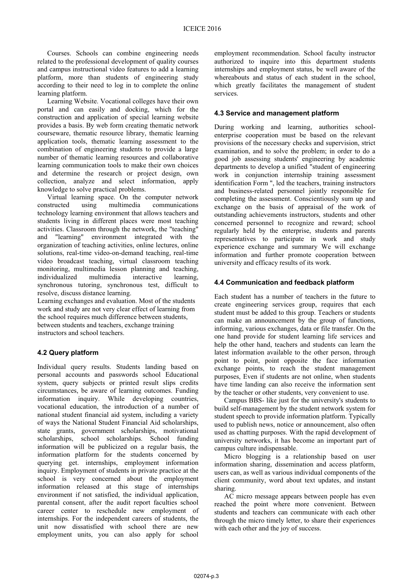Courses. Schools can combine engineering needs related to the professional development of quality courses and campus instructional video features to add a learning platform, more than students of engineering study according to their need to log in to complete the online learning platform.

Learning Website. Vocational colleges have their own portal and can easily and docking, which for the construction and application of special learning website provides a basis. By web form creating thematic network courseware, thematic resource library, thematic learning application tools, thematic learning assessment to the combination of engineering students to provide a large number of thematic learning resources and collaborative learning communication tools to make their own choices and determine the research or project design, own collection, analyze and select information, apply knowledge to solve practical problems.

Virtual learning space. On the computer network constructed using multimedia communications technology learning environment that allows teachers and students living in different places were most teaching activities. Classroom through the network, the "teaching" and "learning" environment integrated with the organization of teaching activities, online lectures, online solutions, real-time video-on-demand teaching, real-time video broadcast teaching, virtual classroom teaching monitoring, multimedia lesson planning and teaching, individualized multimedia interactive learning, individualized multimedia interactive learning, synchronous tutoring, synchronous test, difficult to resolve, discuss distance learning.

Learning exchanges and evaluation. Most of the students work and study are not very clear effect of learning from the school requires much difference between students, between students and teachers, exchange training instructors and school teachers.

#### **4.2 Query platform**

Individual query results. Students landing based on personal accounts and passwords school Educational system, query subjects or printed result slips credits circumstances, be aware of learning outcomes. Funding information inquiry. While developing countries, vocational education, the introduction of a number of national student financial aid system, including a variety of ways the National Student Financial Aid scholarships, state grants, government scholarships, motivational scholarships, school scholarships. School funding information will be publicized on a regular basis, the information platform for the students concerned by querying get. internships, employment information inquiry. Employment of students in private practice at the school is very concerned about the employment information released at this stage of internships environment if not satisfied, the individual application, parental consent, after the audit report faculties school career center to reschedule new employment of internships. For the independent careers of students, the unit now dissatisfied with school there are new employment units, you can also apply for school

employment recommendation. School faculty instructor authorized to inquire into this department students internships and employment status, be well aware of the whereabouts and status of each student in the school, which greatly facilitates the management of student services.

#### **4.3 Service and management platform**

During working and learning, authorities schoolenterprise cooperation must be based on the relevant provisions of the necessary checks and supervision, strict examination, and to solve the problem; in order to do a good job assessing students' engineering by academic departments to develop a unified "student of engineering work in conjunction internship training assessment identification Form ", led the teachers, training instructors and business-related personnel jointly responsible for completing the assessment. Conscientiously sum up and exchange on the basis of appraisal of the work of outstanding achievements instructors, students and other concerned personnel to recognize and reward; school regularly held by the enterprise, students and parents representatives to participate in work and study experience exchange and summary We will exchange information and further promote cooperation between university and efficacy results of its work.

#### **4.4 Communication and feedback platform**

Each student has a number of teachers in the future to create engineering services group, requires that each student must be added to this group. Teachers or students can make an announcement by the group of functions, informing, various exchanges, data or file transfer. On the one hand provide for student learning life services and help the other hand, teachers and students can learn the latest information available to the other person, through point to point, point opposite the face information exchange points, to reach the student management purposes, Even if students are not online, when students have time landing can also receive the information sent by the teacher or other students, very convenient to use.

Campus BBS- like just for the university's students to build self-management by the student network system for student speech to provide information platform. Typically used to publish news, notice or announcement, also often used as chatting purposes. With the rapid development of university networks, it has become an important part of campus culture indispensable.

Micro blogging is a relationship based on user information sharing, dissemination and access platform, users can, as well as various individual components of the client community, word about text updates, and instant sharing.

AC micro message appears between people has even reached the point where more convenient. Between students and teachers can communicate with each other through the micro timely letter, to share their experiences with each other and the joy of success.